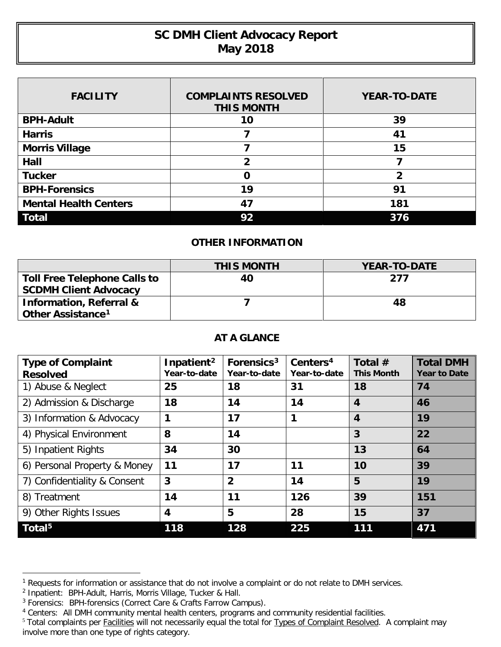## **SC DMH Client Advocacy Report May 2018**

| <b>FACILITY</b>              | <b>COMPLAINTS RESOLVED</b><br><b>THIS MONTH</b> | <b>YEAR-TO-DATE</b> |  |  |
|------------------------------|-------------------------------------------------|---------------------|--|--|
| <b>BPH-Adult</b>             | 10                                              | 39                  |  |  |
| <b>Harris</b>                |                                                 | 41                  |  |  |
| <b>Morris Village</b>        |                                                 | 15                  |  |  |
| Hall                         | 2                                               |                     |  |  |
| <b>Tucker</b>                | O                                               | 2                   |  |  |
| <b>BPH-Forensics</b>         | 19                                              | 91                  |  |  |
| <b>Mental Health Centers</b> | 47                                              | 181                 |  |  |
| <b>Total</b>                 | 92                                              | 376                 |  |  |

## **OTHER INFORMATION**

|                                    | <b>THIS MONTH</b> | <b>YEAR-TO-DATE</b> |
|------------------------------------|-------------------|---------------------|
| Toll Free Telephone Calls to       | 40                | 277                 |
| <b>SCDMH Client Advocacy</b>       |                   |                     |
| <b>Information, Referral &amp;</b> |                   | 48                  |
| Other Assistance <sup>1</sup>      |                   |                     |

## **AT A GLANCE**

| <b>Type of Complaint</b><br><b>Resolved</b> | Inpatient <sup>2</sup><br>Year-to-date | Forensics <sup>3</sup><br>Year-to-date | Centers <sup>4</sup><br>Year-to-date | Total $#$<br><b>This Month</b> | <b>Total DMH</b><br><b>Year to Date</b> |
|---------------------------------------------|----------------------------------------|----------------------------------------|--------------------------------------|--------------------------------|-----------------------------------------|
| 1) Abuse & Neglect                          | 25                                     | 18                                     | 31                                   | 18                             | 74                                      |
| 2) Admission & Discharge                    | 18                                     | 14                                     | 14                                   | 4                              | 46                                      |
| 3) Information & Advocacy                   | 1                                      | 17                                     | 1                                    | $\boldsymbol{4}$               | 19                                      |
| 4) Physical Environment                     | 8                                      | 14                                     |                                      | 3                              | 22                                      |
| 5) Inpatient Rights                         | 34                                     | 30                                     |                                      | 13                             | 64                                      |
| 6) Personal Property & Money                | 11                                     | 17                                     | 11                                   | 10                             | 39                                      |
| 7) Confidentiality & Consent                | 3                                      | $\overline{2}$                         | 14                                   | 5                              | 19                                      |
| 8) Treatment                                | 14                                     | 11                                     | 126                                  | 39                             | 151                                     |
| 9) Other Rights Issues                      | $\overline{\mathbf{4}}$                | 5                                      | 28                                   | 15                             | 37                                      |
| Total <sup>5</sup>                          | 118                                    | 128                                    | 225                                  | 111                            | 471                                     |

 $\overline{a}$ 

<span id="page-0-0"></span><sup>&</sup>lt;sup>1</sup> Requests for information or assistance that do not involve a complaint or do not relate to DMH services.

<span id="page-0-1"></span><sup>&</sup>lt;sup>2</sup> Inpatient: BPH-Adult, Harris, Morris Village, Tucker & Hall.

<span id="page-0-2"></span><sup>&</sup>lt;sup>3</sup> Forensics: BPH-forensics (Correct Care & Crafts Farrow Campus).

<span id="page-0-3"></span><sup>4</sup> Centers: All DMH community mental health centers, programs and community residential facilities.

<span id="page-0-4"></span><sup>&</sup>lt;sup>5</sup> Total complaints per Facilities will not necessarily equal the total for Types of Complaint Resolved. A complaint may involve more than one type of rights category.